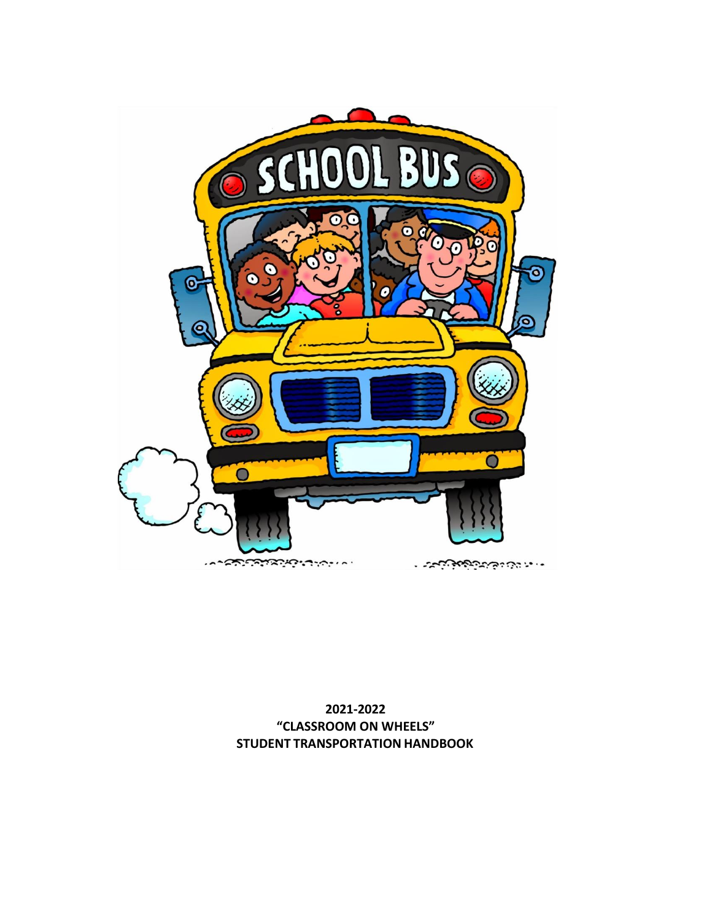

**2021-2022 "CLASSROOM ON WHEELS" STUDENT TRANSPORTATION HANDBOOK**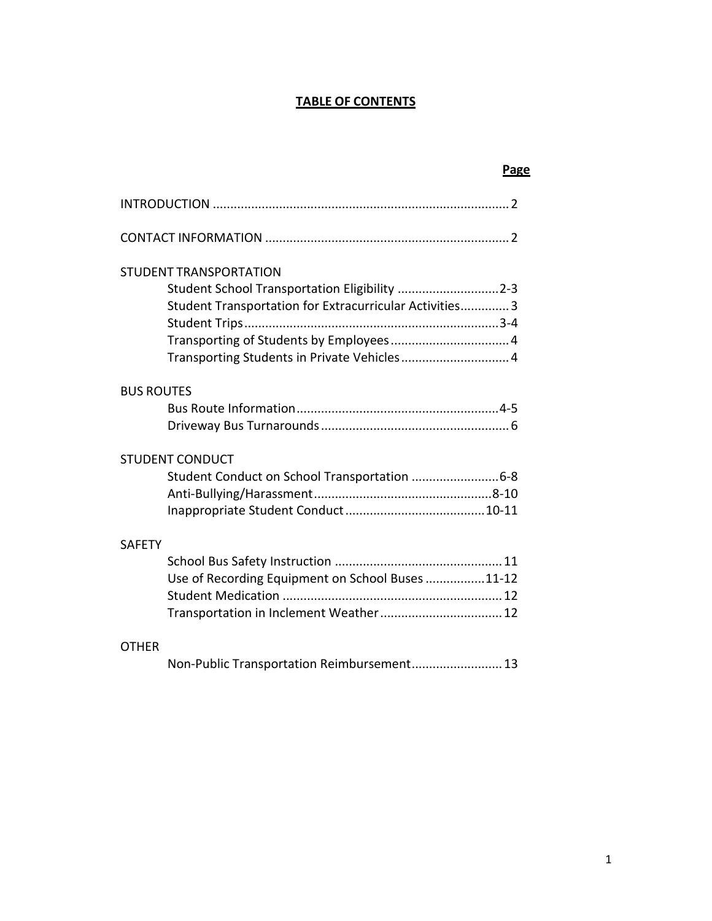## **TABLE OF CONTENTS**

| Page                                                    |  |
|---------------------------------------------------------|--|
|                                                         |  |
|                                                         |  |
| STUDENT TRANSPORTATION                                  |  |
| Student School Transportation Eligibility 2-3           |  |
| Student Transportation for Extracurricular Activities 3 |  |
|                                                         |  |
|                                                         |  |
|                                                         |  |
| <b>BUS ROUTES</b>                                       |  |
|                                                         |  |
|                                                         |  |
| <b>STUDENT CONDUCT</b>                                  |  |
| Student Conduct on School Transportation  6-8           |  |
|                                                         |  |
|                                                         |  |
| <b>SAFETY</b>                                           |  |
|                                                         |  |
| Use of Recording Equipment on School Buses 11-12        |  |
|                                                         |  |
| Transportation in Inclement Weather 12                  |  |
| <b>OTHER</b>                                            |  |

|  | Non-Public Transportation Reimbursement 13 |  |  |
|--|--------------------------------------------|--|--|
|--|--------------------------------------------|--|--|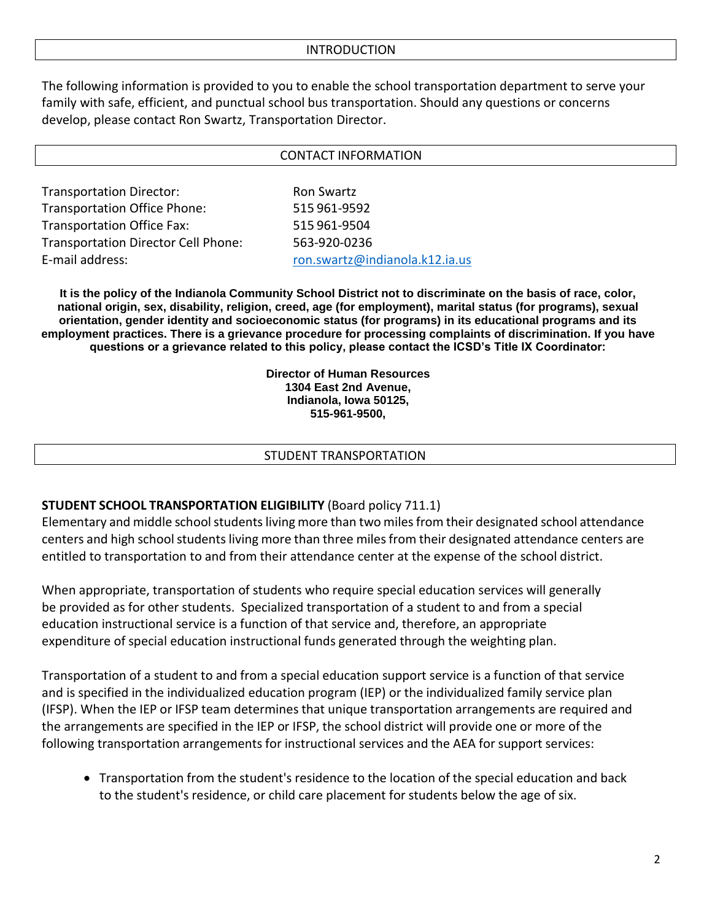The following information is provided to you to enable the school transportation department to serve your family with safe, efficient, and punctual school bus transportation. Should any questions or concerns develop, please contact Ron Swartz, Transportation Director.

|                                            | <b>CONTACT INFORMATION</b>     |
|--------------------------------------------|--------------------------------|
|                                            |                                |
| <b>Transportation Director:</b>            | <b>Ron Swartz</b>              |
| <b>Transportation Office Phone:</b>        | 515 961-9592                   |
| <b>Transportation Office Fax:</b>          | 515 961-9504                   |
| <b>Transportation Director Cell Phone:</b> | 563-920-0236                   |
| E-mail address:                            | ron.swartz@indianola.k12.ia.us |

**It is the policy of the Indianola Community School District not to discriminate on the basis of race, color, national origin, sex, disability, religion, creed, age (for employment), marital status (for programs), sexual orientation, gender identity and socioeconomic status (for programs) in its educational programs and its employment practices. There is a grievance procedure for processing complaints of discrimination. If you have questions or a grievance related to this policy, please contact the ICSD's Title IX Coordinator:**

> **Director of Human Resources 1304 East 2nd Avenue, Indianola, Iowa 50125, 515-961-9500,**

#### STUDENT TRANSPORTATION

### **STUDENT SCHOOL TRANSPORTATION ELIGIBILITY** (Board policy 711.1)

Elementary and middle school students living more than two miles from their designated school attendance centers and high school students living more than three miles from their designated attendance centers are entitled to transportation to and from their attendance center at the expense of the school district.

When appropriate, transportation of students who require special education services will generally be provided as for other students. Specialized transportation of a student to and from a special education instructional service is a function of that service and, therefore, an appropriate expenditure of special education instructional funds generated through the weighting plan.

Transportation of a student to and from a special education support service is a function of that service and is specified in the individualized education program (IEP) or the individualized family service plan (IFSP). When the IEP or IFSP team determines that unique transportation arrangements are required and the arrangements are specified in the IEP or IFSP, the school district will provide one or more of the following transportation arrangements for instructional services and the AEA for support services:

• Transportation from the student's residence to the location of the special education and back to the student's residence, or child care placement for students below the age of six.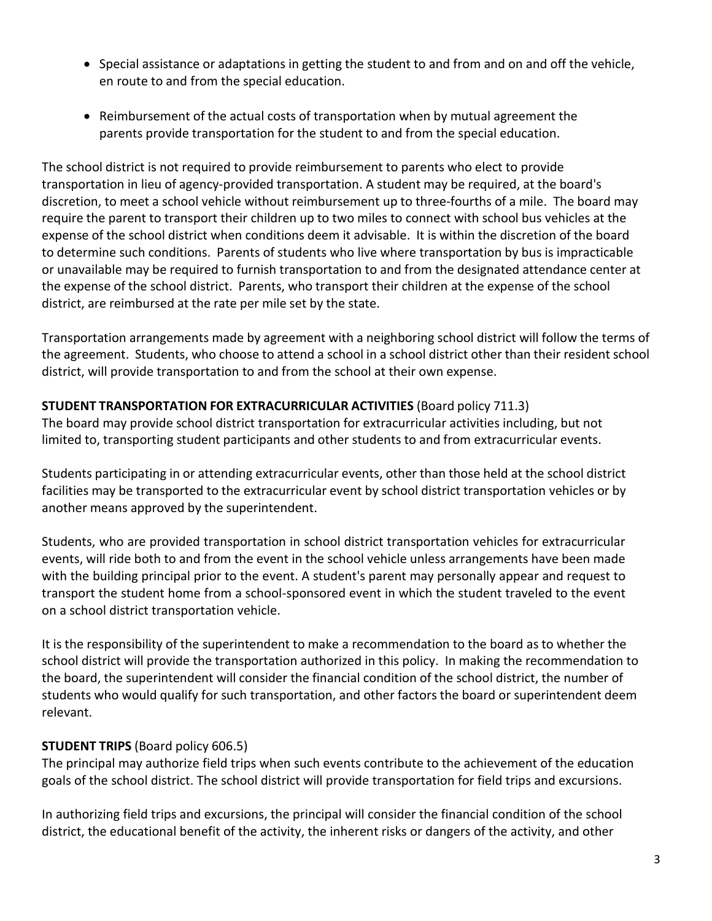- Special assistance or adaptations in getting the student to and from and on and off the vehicle, en route to and from the special education.
- Reimbursement of the actual costs of transportation when by mutual agreement the parents provide transportation for the student to and from the special education.

The school district is not required to provide reimbursement to parents who elect to provide transportation in lieu of agency-provided transportation. A student may be required, at the board's discretion, to meet a school vehicle without reimbursement up to three-fourths of a mile. The board may require the parent to transport their children up to two miles to connect with school bus vehicles at the expense of the school district when conditions deem it advisable. It is within the discretion of the board to determine such conditions. Parents of students who live where transportation by bus is impracticable or unavailable may be required to furnish transportation to and from the designated attendance center at the expense of the school district. Parents, who transport their children at the expense of the school district, are reimbursed at the rate per mile set by the state.

Transportation arrangements made by agreement with a neighboring school district will follow the terms of the agreement. Students, who choose to attend a school in a school district other than their resident school district, will provide transportation to and from the school at their own expense.

## **STUDENT TRANSPORTATION FOR EXTRACURRICULAR ACTIVITIES** (Board policy 711.3)

The board may provide school district transportation for extracurricular activities including, but not limited to, transporting student participants and other students to and from extracurricular events.

Students participating in or attending extracurricular events, other than those held at the school district facilities may be transported to the extracurricular event by school district transportation vehicles or by another means approved by the superintendent.

Students, who are provided transportation in school district transportation vehicles for extracurricular events, will ride both to and from the event in the school vehicle unless arrangements have been made with the building principal prior to the event. A student's parent may personally appear and request to transport the student home from a school-sponsored event in which the student traveled to the event on a school district transportation vehicle.

It is the responsibility of the superintendent to make a recommendation to the board as to whether the school district will provide the transportation authorized in this policy. In making the recommendation to the board, the superintendent will consider the financial condition of the school district, the number of students who would qualify for such transportation, and other factors the board or superintendent deem relevant.

## **STUDENT TRIPS** (Board policy 606.5)

The principal may authorize field trips when such events contribute to the achievement of the education goals of the school district. The school district will provide transportation for field trips and excursions.

In authorizing field trips and excursions, the principal will consider the financial condition of the school district, the educational benefit of the activity, the inherent risks or dangers of the activity, and other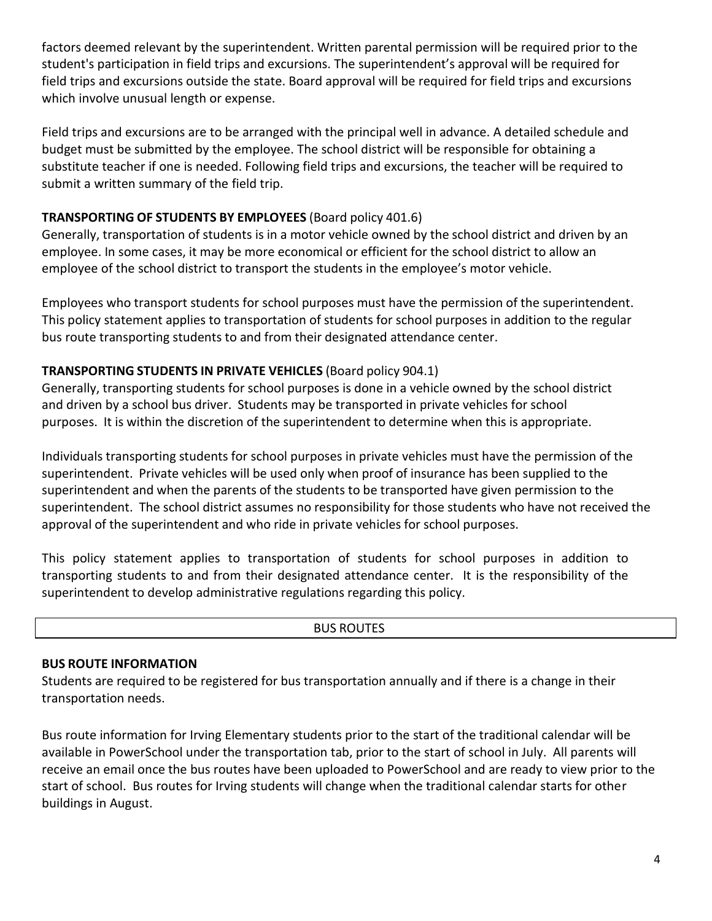factors deemed relevant by the superintendent. Written parental permission will be required prior to the student's participation in field trips and excursions. The superintendent's approval will be required for field trips and excursions outside the state. Board approval will be required for field trips and excursions which involve unusual length or expense.

Field trips and excursions are to be arranged with the principal well in advance. A detailed schedule and budget must be submitted by the employee. The school district will be responsible for obtaining a substitute teacher if one is needed. Following field trips and excursions, the teacher will be required to submit a written summary of the field trip.

## **TRANSPORTING OF STUDENTS BY EMPLOYEES** (Board policy 401.6)

Generally, transportation of students is in a motor vehicle owned by the school district and driven by an employee. In some cases, it may be more economical or efficient for the school district to allow an employee of the school district to transport the students in the employee's motor vehicle.

Employees who transport students for school purposes must have the permission of the superintendent. This policy statement applies to transportation of students for school purposes in addition to the regular bus route transporting students to and from their designated attendance center.

## **TRANSPORTING STUDENTS IN PRIVATE VEHICLES** (Board policy 904.1)

Generally, transporting students for school purposes is done in a vehicle owned by the school district and driven by a school bus driver. Students may be transported in private vehicles for school purposes. It is within the discretion of the superintendent to determine when this is appropriate.

Individuals transporting students for school purposes in private vehicles must have the permission of the superintendent. Private vehicles will be used only when proof of insurance has been supplied to the superintendent and when the parents of the students to be transported have given permission to the superintendent. The school district assumes no responsibility for those students who have not received the approval of the superintendent and who ride in private vehicles for school purposes.

This policy statement applies to transportation of students for school purposes in addition to transporting students to and from their designated attendance center. It is the responsibility of the superintendent to develop administrative regulations regarding this policy.

### BUS ROUTES

## <span id="page-4-0"></span>**BUS ROUTE INFORMATION**

Students are required to be registered for bus transportation annually and if there is a change in their transportation needs.

Bus route information for Irving Elementary students prior to the start of the traditional calendar will be available in PowerSchool under the transportation tab, prior to the start of school in July. All parents will receive an email once the bus routes have been uploaded to PowerSchool and are ready to view prior to the start of school. Bus routes for Irving students will change when the traditional calendar starts for other buildings in August.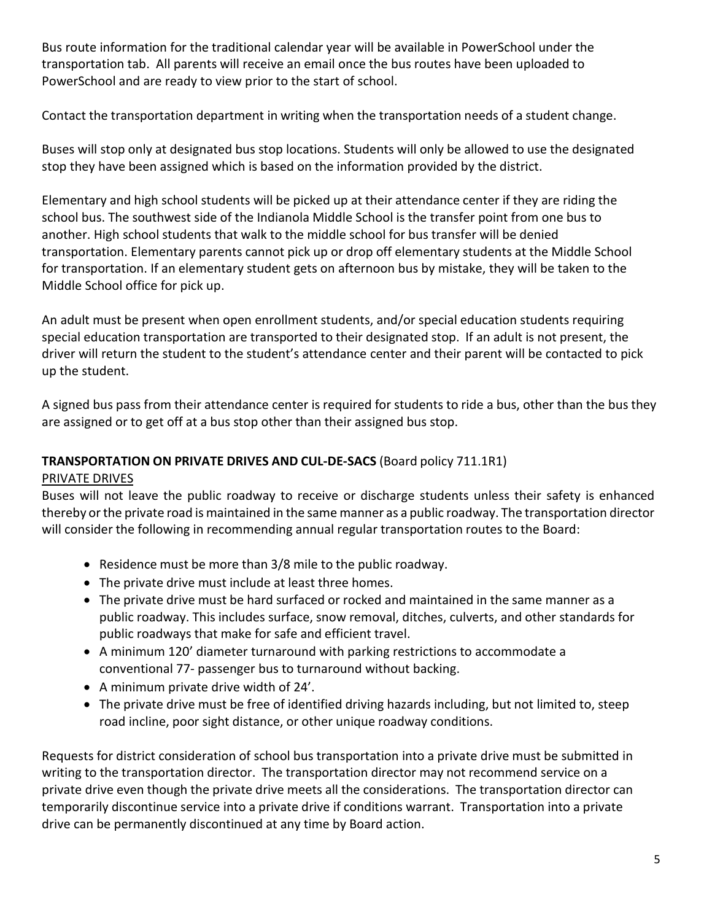Bus route information for the traditional calendar year will be available in PowerSchool under the transportation tab. All parents will receive an email once the bus routes have been uploaded to PowerSchool and are ready to view prior to the start of school.

Contact the transportation department in writing when the transportation needs of a student change.

Buses will stop only at designated bus stop locations. Students will only be allowed to use the designated stop they have been assigned which is based on the information provided by the district.

Elementary and high school students will be picked up at their attendance center if they are riding the school bus. The southwest side of the Indianola Middle School is the transfer point from one bus to another. High school students that walk to the middle school for bus transfer will be denied transportation. Elementary parents cannot pick up or drop off elementary students at the Middle School for transportation. If an elementary student gets on afternoon bus by mistake, they will be taken to the Middle School office for pick up.

An adult must be present when open enrollment students, and/or special education students requiring special education transportation are transported to their designated stop. If an adult is not present, the driver will return the student to the student's attendance center and their parent will be contacted to pick up the student.

A signed bus pass from their attendance center is required for students to ride a bus, other than the bus they are assigned or to get off at a bus stop other than their assigned bus stop.

## **TRANSPORTATION ON PRIVATE DRIVES AND CUL-DE-SACS** (Board policy 711.1R1)

## PRIVATE DRIVES

Buses will not leave the public roadway to receive or discharge students unless their safety is enhanced thereby orthe private road is maintained in the same manner as a public roadway. The transportation director will consider the following in recommending annual regular transportation routes to the Board:

- Residence must be more than 3/8 mile to the public roadway.
- The private drive must include at least three homes.
- The private drive must be hard surfaced or rocked and maintained in the same manner as a public roadway. This includes surface, snow removal, ditches, culverts, and other standards for public roadways that make for safe and efficient travel.
- A minimum 120' diameter turnaround with parking restrictions to accommodate a conventional 77- passenger bus to turnaround without backing.
- A minimum private drive width of 24'.
- The private drive must be free of identified driving hazards including, but not limited to, steep road incline, poor sight distance, or other unique roadway conditions.

Requests for district consideration of school bus transportation into a private drive must be submitted in writing to the transportation director. The transportation director may not recommend service on a private drive even though the private drive meets all the considerations. The transportation director can temporarily discontinue service into a private drive if conditions warrant. Transportation into a private drive can be permanently discontinued at any time by Board action.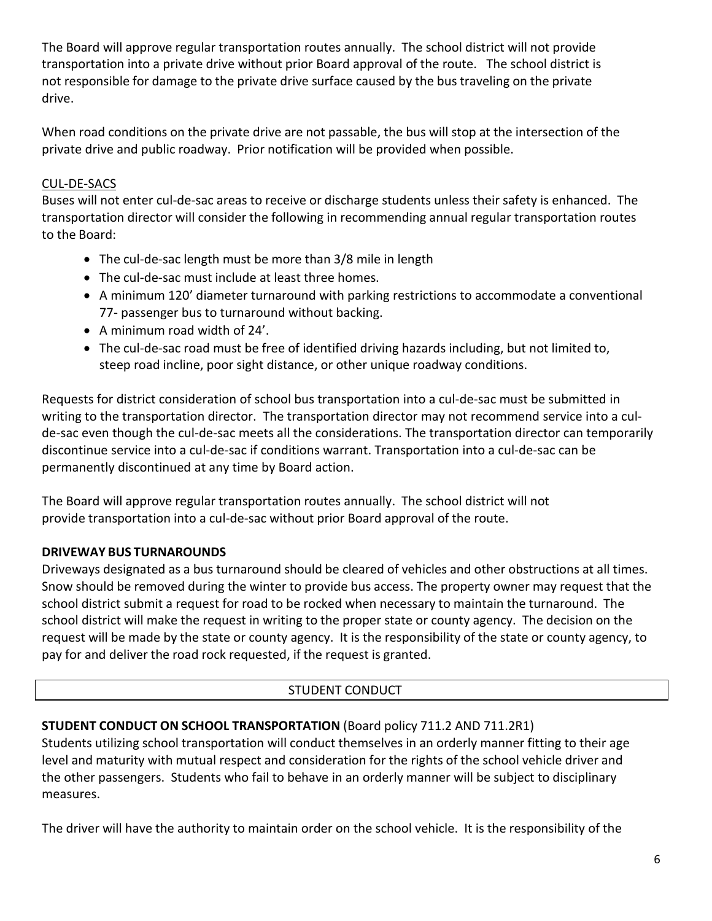The Board will approve regular transportation routes annually. The school district will not provide transportation into a private drive without prior Board approval of the route. The school district is not responsible for damage to the private drive surface caused by the bus traveling on the private drive.

When road conditions on the private drive are not passable, the bus will stop at the intersection of the private drive and public roadway. Prior notification will be provided when possible.

## CUL-DE-SACS

Buses will not enter cul-de-sac areas to receive or discharge students unless their safety is enhanced. The transportation director will consider the following in recommending annual regular transportation routes to the Board:

- The cul-de-sac length must be more than 3/8 mile in length
- The cul-de-sac must include at least three homes.
- A minimum 120' diameter turnaround with parking restrictions to accommodate a conventional 77- passenger bus to turnaround without backing.
- A minimum road width of 24'.
- The cul-de-sac road must be free of identified driving hazards including, but not limited to, steep road incline, poor sight distance, or other unique roadway conditions.

Requests for district consideration of school bus transportation into a cul-de-sac must be submitted in writing to the transportation director. The transportation director may not recommend service into a culde-sac even though the cul-de-sac meets all the considerations. The transportation director can temporarily discontinue service into a cul-de-sac if conditions warrant. Transportation into a cul-de-sac can be permanently discontinued at any time by Board action.

The Board will approve regular transportation routes annually. The school district will not provide transportation into a cul-de-sac without prior Board approval of the route.

## <span id="page-6-0"></span>**DRIVEWAY BUS TURNAROUNDS**

Driveways designated as a bus turnaround should be cleared of vehicles and other obstructions at all times. Snow should be removed during the winter to provide bus access. The property owner may request that the school district submit a request for road to be rocked when necessary to maintain the turnaround. The school district will make the request in writing to the proper state or county agency. The decision on the request will be made by the state or county agency. It is the responsibility of the state or county agency, to pay for and deliver the road rock requested, if the request is granted.

## STUDENT CONDUCT

## **STUDENT CONDUCT ON SCHOOL TRANSPORTATION** (Board policy 711.2 AND 711.2R1)

Students utilizing school transportation will conduct themselves in an orderly manner fitting to their age level and maturity with mutual respect and consideration for the rights of the school vehicle driver and the other passengers. Students who fail to behave in an orderly manner will be subject to disciplinary measures.

The driver will have the authority to maintain order on the school vehicle. It is the responsibility of the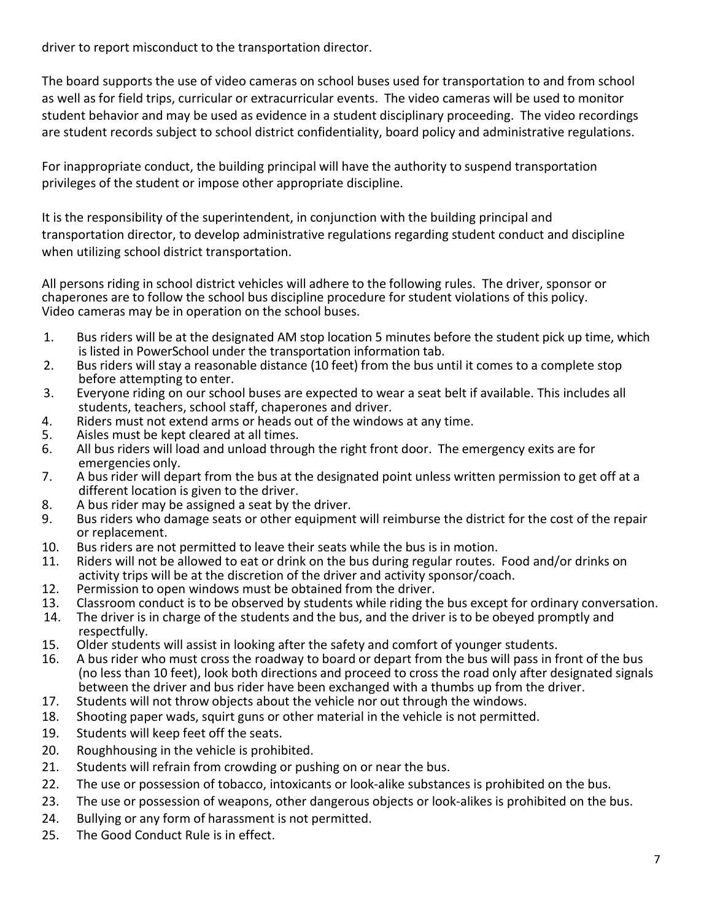driver to report misconduct to the transportation director.

The board supports the use of video cameras on school buses used for transportation to and from school as well as for field trips, curricular or extracurricular events. The video cameras will be used to monitor student behavior and may be used as evidence in a student disciplinary proceeding. The video recordings are student records subject to school district confidentiality, board policy and administrative regulations.

For inappropriate conduct, the building principal will have the authority to suspend transportation privileges of the student or impose other appropriate discipline.

It is the responsibility of the superintendent, in conjunction with the building principal and transportation director, to develop administrative regulations regarding student conduct and discipline when utilizing school district transportation.

All persons riding in school district vehicles will adhere to the following rules. The driver, sponsor or chaperones are to follow the school bus discipline procedure for student violations of this policy. Video cameras may be in operation on the school buses.

- 1. Bus riders will be at the designated AM stop location 5 minutes before the student pick up time, which is listed in PowerSchool under the transportation information tab.
- 2. Bus riders will stay a reasonable distance (10 feet) from the bus until it comes to a complete stop before attempting to enter.
- 3. Everyone riding on our school buses are expected to wear a seat belt if available. This includes all students, teachers, school staff, chaperones and driver.
- 4. Riders must not extend arms or heads out of the windows at any time.
- 5. Aisles must be kept cleared at all times.
- 6. All bus riders will load and unload through the right front door. The emergency exits are for emergencies only.
- 7. A bus rider will depart from the bus at the designated point unless written permission to get off at a different location is given to the driver.
- 8. A bus rider may be assigned a seat by the driver.
- 9. Bus riders who damage seats or other equipment will reimburse the district for the cost of the repair or replacement.
- 10. Bus riders are not permitted to leave their seats while the bus is in motion.
- 11. Riders will not be allowed to eat or drink on the bus during regular routes. Food and/or drinks on activity trips will be at the discretion of the driver and activity sponsor/coach.
- 12. Permission to open windows must be obtained from the driver.
- 13. Classroom conduct is to be observed by students while riding the bus except for ordinary conversation.
- 14. The driver is in charge of the students and the bus, and the driver is to be obeyed promptly and respectfully.
- 15. Older students will assist in looking after the safety and comfort of younger students.
- 16. A bus rider who must cross the roadway to board or depart from the bus will pass in front of the bus (no less than 10 feet), look both directions and proceed to cross the road only after designated signals between the driver and bus rider have been exchanged with a thumbs up from the driver.
- 17. Students will not throw objects about the vehicle nor out through the windows.
- 18. Shooting paper wads, squirt guns or other material in the vehicle is not permitted.
- 19. Students will keep feet off the seats.
- 20. Roughhousing in the vehicle is prohibited.
- 21. Students will refrain from crowding or pushing on or near the bus.
- 22. The use or possession of tobacco, intoxicants or look-alike substances is prohibited on the bus.
- 23. The use or possession of weapons, other dangerous objects or look-alikes is prohibited on the bus.
- 24. Bullying or any form of harassment is not permitted.
- 25. The Good Conduct Rule is in effect.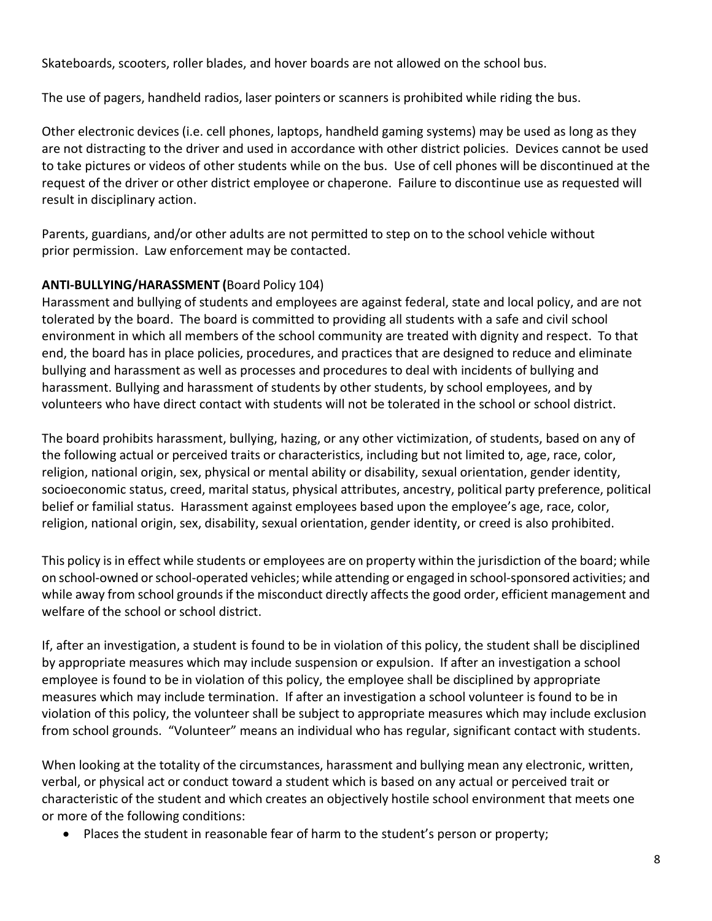Skateboards, scooters, roller blades, and hover boards are not allowed on the school bus.

The use of pagers, handheld radios, laser pointers or scanners is prohibited while riding the bus.

Other electronic devices (i.e. cell phones, laptops, handheld gaming systems) may be used as long as they are not distracting to the driver and used in accordance with other district policies. Devices cannot be used to take pictures or videos of other students while on the bus. Use of cell phones will be discontinued at the request of the driver or other district employee or chaperone. Failure to discontinue use as requested will result in disciplinary action.

Parents, guardians, and/or other adults are not permitted to step on to the school vehicle without prior permission. Law enforcement may be contacted.

# **ANTI-BULLYING/HARASSMENT (**Board Policy 104)

Harassment and bullying of students and employees are against federal, state and local policy, and are not tolerated by the board. The board is committed to providing all students with a safe and civil school environment in which all members of the school community are treated with dignity and respect. To that end, the board has in place policies, procedures, and practices that are designed to reduce and eliminate bullying and harassment as well as processes and procedures to deal with incidents of bullying and harassment. Bullying and harassment of students by other students, by school employees, and by volunteers who have direct contact with students will not be tolerated in the school or school district.

The board prohibits harassment, bullying, hazing, or any other victimization, of students, based on any of the following actual or perceived traits or characteristics, including but not limited to, age, race, color, religion, national origin, sex, physical or mental ability or disability, sexual orientation, gender identity, socioeconomic status, creed, marital status, physical attributes, ancestry, political party preference, political belief or familial status. Harassment against employees based upon the employee's age, race, color, religion, national origin, sex, disability, sexual orientation, gender identity, or creed is also prohibited.

This policy isin effect while students or employees are on property within the jurisdiction of the board; while on school-owned orschool-operated vehicles; while attending or engaged in school-sponsored activities; and while away from school grounds if the misconduct directly affects the good order, efficient management and welfare of the school or school district.

If, after an investigation, a student is found to be in violation of this policy, the student shall be disciplined by appropriate measures which may include suspension or expulsion. If after an investigation a school employee is found to be in violation of this policy, the employee shall be disciplined by appropriate measures which may include termination. If after an investigation a school volunteer is found to be in violation of this policy, the volunteer shall be subject to appropriate measures which may include exclusion from school grounds. "Volunteer" means an individual who has regular, significant contact with students.

When looking at the totality of the circumstances, harassment and bullying mean any electronic, written, verbal, or physical act or conduct toward a student which is based on any actual or perceived trait or characteristic of the student and which creates an objectively hostile school environment that meets one or more of the following conditions:

• Places the student in reasonable fear of harm to the student's person or property;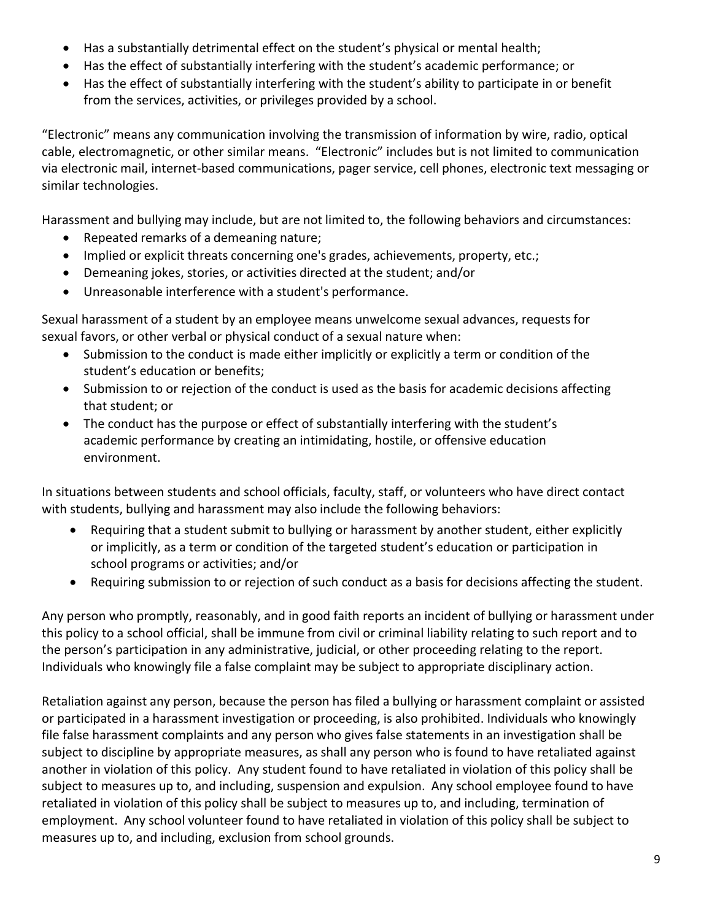- Has a substantially detrimental effect on the student's physical or mental health;
- Has the effect of substantially interfering with the student's academic performance; or
- Has the effect of substantially interfering with the student's ability to participate in or benefit from the services, activities, or privileges provided by a school.

"Electronic" means any communication involving the transmission of information by wire, radio, optical cable, electromagnetic, or other similar means. "Electronic" includes but is not limited to communication via electronic mail, internet-based communications, pager service, cell phones, electronic text messaging or similar technologies.

Harassment and bullying may include, but are not limited to, the following behaviors and circumstances:

- Repeated remarks of a demeaning nature;
- Implied or explicit threats concerning one's grades, achievements, property, etc.;
- Demeaning jokes, stories, or activities directed at the student; and/or
- Unreasonable interference with a student's performance.

Sexual harassment of a student by an employee means unwelcome sexual advances, requests for sexual favors, or other verbal or physical conduct of a sexual nature when:

- Submission to the conduct is made either implicitly or explicitly a term or condition of the student's education or benefits;
- Submission to or rejection of the conduct is used as the basis for academic decisions affecting that student; or
- The conduct has the purpose or effect of substantially interfering with the student's academic performance by creating an intimidating, hostile, or offensive education environment.

In situations between students and school officials, faculty, staff, or volunteers who have direct contact with students, bullying and harassment may also include the following behaviors:

- Requiring that a student submit to bullying or harassment by another student, either explicitly or implicitly, as a term or condition of the targeted student's education or participation in school programs or activities; and/or
- Requiring submission to or rejection of such conduct as a basis for decisions affecting the student.

Any person who promptly, reasonably, and in good faith reports an incident of bullying or harassment under this policy to a school official, shall be immune from civil or criminal liability relating to such report and to the person's participation in any administrative, judicial, or other proceeding relating to the report. Individuals who knowingly file a false complaint may be subject to appropriate disciplinary action.

Retaliation against any person, because the person has filed a bullying or harassment complaint or assisted or participated in a harassment investigation or proceeding, is also prohibited. Individuals who knowingly file false harassment complaints and any person who gives false statements in an investigation shall be subject to discipline by appropriate measures, as shall any person who is found to have retaliated against another in violation of this policy. Any student found to have retaliated in violation of this policy shall be subject to measures up to, and including, suspension and expulsion. Any school employee found to have retaliated in violation of this policy shall be subject to measures up to, and including, termination of employment. Any school volunteer found to have retaliated in violation of this policy shall be subject to measures up to, and including, exclusion from school grounds.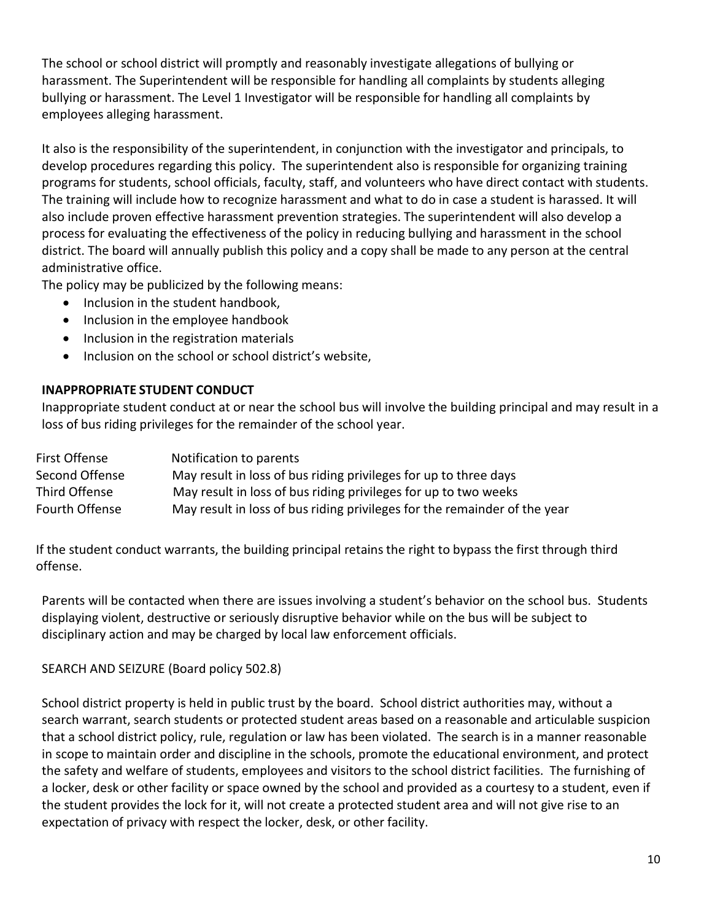The school or school district will promptly and reasonably investigate allegations of bullying or harassment. The Superintendent will be responsible for handling all complaints by students alleging bullying or harassment. The Level 1 Investigator will be responsible for handling all complaints by employees alleging harassment.

It also is the responsibility of the superintendent, in conjunction with the investigator and principals, to develop procedures regarding this policy. The superintendent also is responsible for organizing training programs for students, school officials, faculty, staff, and volunteers who have direct contact with students. The training will include how to recognize harassment and what to do in case a student is harassed. It will also include proven effective harassment prevention strategies. The superintendent will also develop a process for evaluating the effectiveness of the policy in reducing bullying and harassment in the school district. The board will annually publish this policy and a copy shall be made to any person at the central administrative office.

The policy may be publicized by the following means:

- Inclusion in the student handbook,
- Inclusion in the employee handbook
- Inclusion in the registration materials
- Inclusion on the school or school district's website,

## <span id="page-10-0"></span>**INAPPROPRIATE STUDENT CONDUCT**

Inappropriate student conduct at or near the school bus will involve the building principal and may result in a loss of bus riding privileges for the remainder of the school year.

| First Offense  | Notification to parents                                                   |
|----------------|---------------------------------------------------------------------------|
| Second Offense | May result in loss of bus riding privileges for up to three days          |
| Third Offense  | May result in loss of bus riding privileges for up to two weeks           |
| Fourth Offense | May result in loss of bus riding privileges for the remainder of the year |

If the student conduct warrants, the building principal retains the right to bypass the first through third offense.

Parents will be contacted when there are issues involving a student's behavior on the school bus. Students displaying violent, destructive or seriously disruptive behavior while on the bus will be subject to disciplinary action and may be charged by local law enforcement officials.

## SEARCH AND SEIZURE (Board policy 502.8)

School district property is held in public trust by the board. School district authorities may, without a search warrant, search students or protected student areas based on a reasonable and articulable suspicion that a school district policy, rule, regulation or law has been violated. The search is in a manner reasonable in scope to maintain order and discipline in the schools, promote the educational environment, and protect the safety and welfare of students, employees and visitors to the school district facilities. The furnishing of a locker, desk or other facility or space owned by the school and provided as a courtesy to a student, even if the student provides the lock for it, will not create a protected student area and will not give rise to an expectation of privacy with respect the locker, desk, or other facility.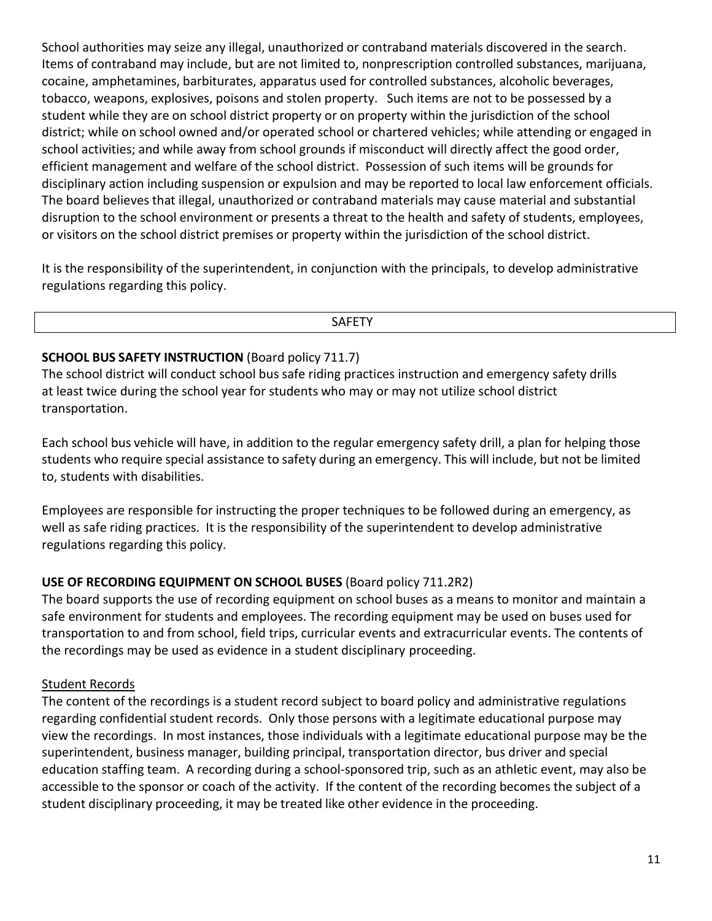School authorities may seize any illegal, unauthorized or contraband materials discovered in the search. Items of contraband may include, but are not limited to, nonprescription controlled substances, marijuana, cocaine, amphetamines, barbiturates, apparatus used for controlled substances, alcoholic beverages, tobacco, weapons, explosives, poisons and stolen property. Such items are not to be possessed by a student while they are on school district property or on property within the jurisdiction of the school district; while on school owned and/or operated school or chartered vehicles; while attending or engaged in school activities; and while away from school grounds if misconduct will directly affect the good order, efficient management and welfare of the school district. Possession of such items will be grounds for disciplinary action including suspension or expulsion and may be reported to local law enforcement officials. The board believes that illegal, unauthorized or contraband materials may cause material and substantial disruption to the school environment or presents a threat to the health and safety of students, employees, or visitors on the school district premises or property within the jurisdiction of the school district.

It is the responsibility of the superintendent, in conjunction with the principals, to develop administrative regulations regarding this policy.

SAFETY

## **SCHOOL BUS SAFETY INSTRUCTION** (Board policy 711.7)

The school district will conduct school bus safe riding practices instruction and emergency safety drills at least twice during the school year for students who may or may not utilize school district transportation.

Each school bus vehicle will have, in addition to the regular emergency safety drill, a plan for helping those students who require special assistance to safety during an emergency. This will include, but not be limited to, students with disabilities.

Employees are responsible for instructing the proper techniques to be followed during an emergency, as well as safe riding practices. It is the responsibility of the superintendent to develop administrative regulations regarding this policy.

## **USE OF RECORDING EQUIPMENT ON SCHOOL BUSES** (Board policy 711.2R2)

The board supports the use of recording equipment on school buses as a means to monitor and maintain a safe environment for students and employees. The recording equipment may be used on buses used for transportation to and from school, field trips, curricular events and extracurricular events. The contents of the recordings may be used as evidence in a student disciplinary proceeding.

## Student Records

The content of the recordings is a student record subject to board policy and administrative regulations regarding confidential student records. Only those persons with a legitimate educational purpose may view the recordings. In most instances, those individuals with a legitimate educational purpose may be the superintendent, business manager, building principal, transportation director, bus driver and special education staffing team. A recording during a school-sponsored trip, such as an athletic event, may also be accessible to the sponsor or coach of the activity. If the content of the recording becomes the subject of a student disciplinary proceeding, it may be treated like other evidence in the proceeding.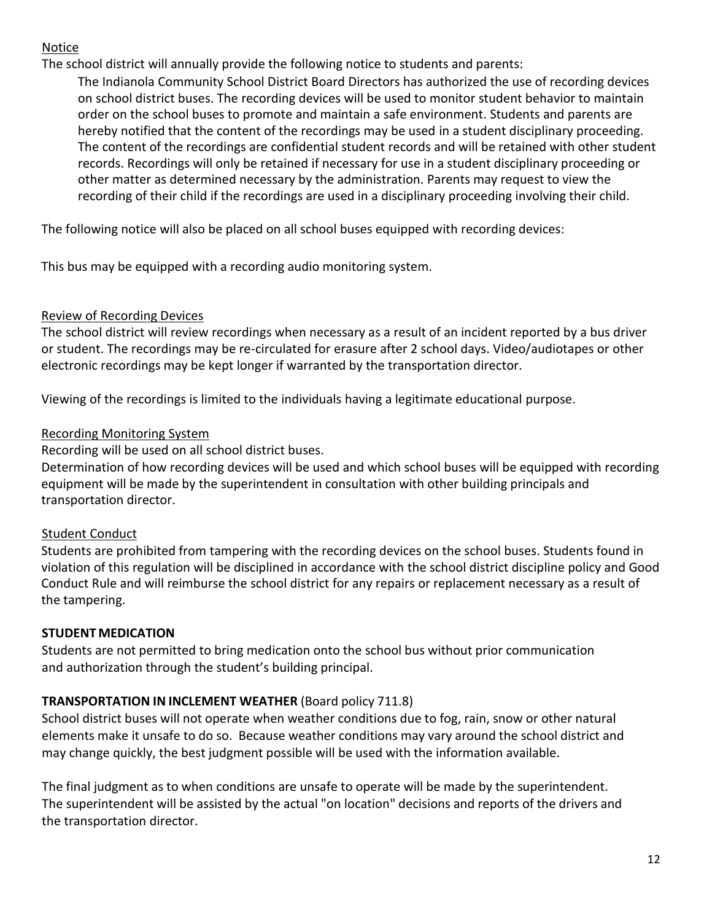## Notice

The school district will annually provide the following notice to students and parents:

The Indianola Community School District Board Directors has authorized the use of recording devices on school district buses. The recording devices will be used to monitor student behavior to maintain order on the school buses to promote and maintain a safe environment. Students and parents are hereby notified that the content of the recordings may be used in a student disciplinary proceeding. The content of the recordings are confidential student records and will be retained with other student records. Recordings will only be retained if necessary for use in a student disciplinary proceeding or other matter as determined necessary by the administration. Parents may request to view the recording of their child if the recordings are used in a disciplinary proceeding involving their child.

The following notice will also be placed on all school buses equipped with recording devices:

This bus may be equipped with a recording audio monitoring system.

## Review of Recording Devices

The school district will review recordings when necessary as a result of an incident reported by a bus driver or student. The recordings may be re-circulated for erasure after 2 school days. Video/audiotapes or other electronic recordings may be kept longer if warranted by the transportation director.

Viewing of the recordings is limited to the individuals having a legitimate educational purpose.

## Recording Monitoring System

Recording will be used on all school district buses.

Determination of how recording devices will be used and which school buses will be equipped with recording equipment will be made by the superintendent in consultation with other building principals and transportation director.

## Student Conduct

Students are prohibited from tampering with the recording devices on the school buses. Students found in violation of this regulation will be disciplined in accordance with the school district discipline policy and Good Conduct Rule and will reimburse the school district for any repairs or replacement necessary as a result of the tampering.

## **STUDENT MEDICATION**

Students are not permitted to bring medication onto the school bus without prior communication and authorization through the student's building principal.

## **TRANSPORTATION IN INCLEMENT WEATHER** (Board policy 711.8)

School district buses will not operate when weather conditions due to fog, rain, snow or other natural elements make it unsafe to do so. Because weather conditions may vary around the school district and may change quickly, the best judgment possible will be used with the information available.

The final judgment as to when conditions are unsafe to operate will be made by the superintendent. The superintendent will be assisted by the actual "on location" decisions and reports of the drivers and the transportation director.